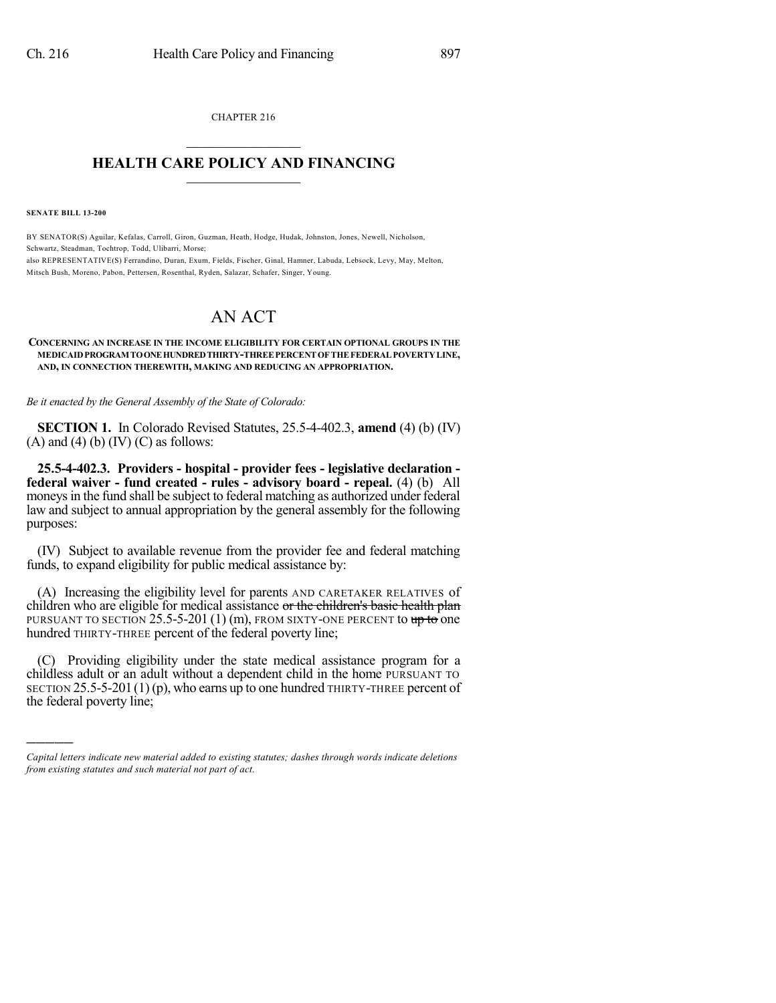CHAPTER 216  $\overline{\phantom{a}}$  . The set of the set of the set of the set of the set of the set of the set of the set of the set of the set of the set of the set of the set of the set of the set of the set of the set of the set of the set o

## **HEALTH CARE POLICY AND FINANCING**  $\_$   $\_$   $\_$   $\_$   $\_$   $\_$   $\_$   $\_$

**SENATE BILL 13-200**

)))))

BY SENATOR(S) Aguilar, Kefalas, Carroll, Giron, Guzman, Heath, Hodge, Hudak, Johnston, Jones, Newell, Nicholson, Schwartz, Steadman, Tochtrop, Todd, Ulibarri, Morse; also REPRESENTATIVE(S) Ferrandino, Duran, Exum, Fields, Fischer, Ginal, Hamner, Labuda, Lebsock, Levy, May, Melton, Mitsch Bush, Moreno, Pabon, Pettersen, Rosenthal, Ryden, Salazar, Schafer, Singer, Young.

# AN ACT

#### **CONCERNING AN INCREASE IN THE INCOME ELIGIBILITY FOR CERTAIN OPTIONAL GROUPS IN THE MEDICAIDPROGRAM TOONEHUNDREDTHIRTY-THREEPERCENT OF THE FEDERAL POVERTYLINE, AND, IN CONNECTION THEREWITH, MAKING AND REDUCING AN APPROPRIATION.**

*Be it enacted by the General Assembly of the State of Colorado:*

**SECTION 1.** In Colorado Revised Statutes, 25.5-4-402.3, **amend** (4) (b) (IV)  $(A)$  and  $(4)$   $(b)$   $(IV)$   $(C)$  as follows:

**25.5-4-402.3. Providers - hospital - provider fees - legislative declaration federal waiver - fund created - rules - advisory board - repeal.** (4) (b) All moneys in the fund shall be subject to federal matching as authorized under federal law and subject to annual appropriation by the general assembly for the following purposes:

(IV) Subject to available revenue from the provider fee and federal matching funds, to expand eligibility for public medical assistance by:

(A) Increasing the eligibility level for parents AND CARETAKER RELATIVES of children who are eligible for medical assistance or the children's basic health plan PURSUANT TO SECTION 25.5-5-201 (1) (m), FROM SIXTY-ONE PERCENT to  $up to$  one hundred THIRTY-THREE percent of the federal poverty line;

(C) Providing eligibility under the state medical assistance program for a childless adult or an adult without a dependent child in the home PURSUANT TO SECTION  $25.5-5-201(1)(p)$ , who earns up to one hundred THIRTY-THREE percent of the federal poverty line;

*Capital letters indicate new material added to existing statutes; dashes through words indicate deletions from existing statutes and such material not part of act.*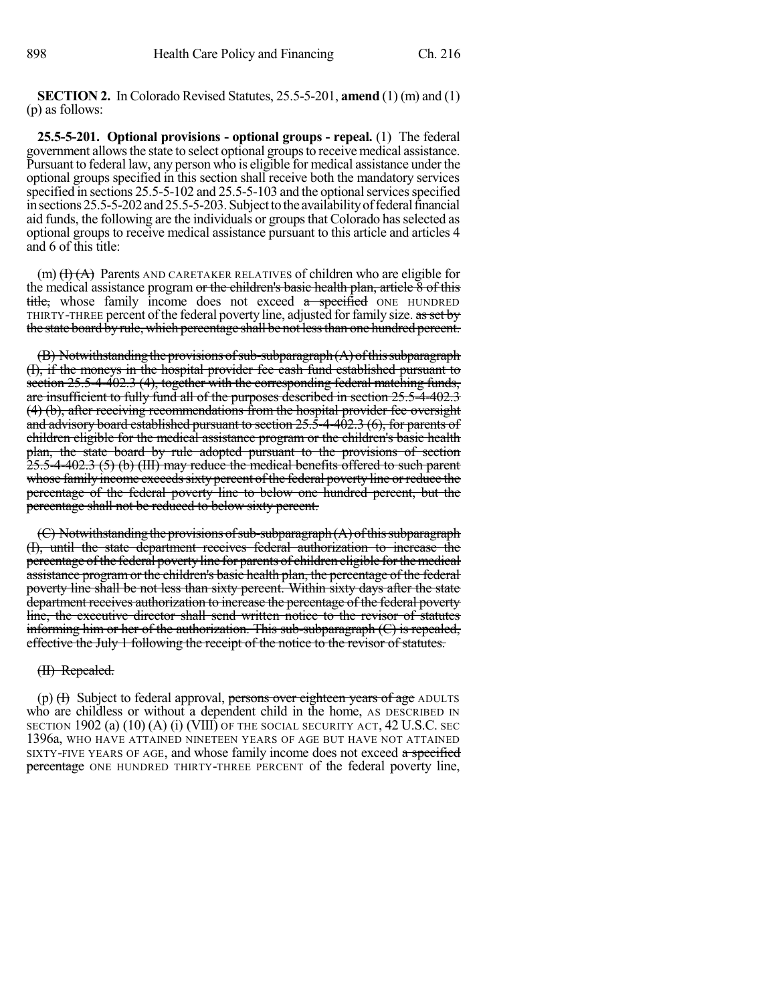**SECTION 2.** In Colorado Revised Statutes, 25.5-5-201, **amend** (1) (m) and (1) (p) as follows:

**25.5-5-201. Optional provisions - optional groups - repeal.** (1) The federal government allows the state to select optional groups to receive medical assistance. Pursuant to federal law, any person who is eligible for medical assistance under the optional groups specified in this section shall receive both the mandatory services specified in sections 25.5-5-102 and 25.5-5-103 and the optional services specified in sections 25.5-5-202 and 25.5-5-203. Subject to the availability of federal financial aid funds, the following are the individuals or groupsthat Colorado hasselected as optional groups to receive medical assistance pursuant to this article and articles 4 and 6 of this title:

(m)  $(H)$   $(H)$  Parents AND CARETAKER RELATIVES of children who are eligible for the medical assistance program or the children's basic health plan, article 8 of this title, whose family income does not exceed a specified ONE HUNDRED THIRTY-THREE percent of the federal poverty line, adjusted for family size. as set by the state board by rule, which percentage shall be not less than one hundred percent.

 $(B)$  Notwithstanding the provisions of sub-subparagraph $(A)$  of this subparagraph (I), if the moneys in the hospital provider fee cash fund established pursuant to section 25.5-4-402.3 (4), together with the corresponding federal matching funds, are insufficient to fully fund all of the purposes described in section 25.5-4-402.3 (4) (b), after receiving recommendations from the hospital provider fee oversight and advisory board established pursuant to section 25.5-4-402.3 (6), for parents of children eligible for the medical assistance program or the children's basic health plan, the state board by rule adopted pursuant to the provisions of section 25.5-4-402.3 (5) (b) (III) may reduce the medical benefits offered to such parent whose family income exceeds sixty percent of the federal poverty line or reduce the percentage of the federal poverty line to below one hundred percent, but the percentage shall not be reduced to below sixty percent.

 $(C)$  Notwithstanding the provisions of sub-subparagraph  $(A)$  of this subparagraph (I), until the state department receives federal authorization to increase the percentage of the federal poverty line for parents of children eligible for the medical assistance programor the children's basic health plan, the percentage of the federal poverty line shall be not less than sixty percent. Within sixty days after the state department receives authorization to increase the percentage of the federal poverty line, the executive director shall send written notice to the revisor of statutes informing him or her of the authorization. This sub-subparagraph (C) is repealed, effective the July 1 following the receipt of the notice to the revisor of statutes.

# (II) Repealed.

(p)  $(H)$  Subject to federal approval, persons over eighteen years of age ADULTS who are childless or without a dependent child in the home, AS DESCRIBED IN SECTION 1902 (a) (10) (A) (i) (VIII) OF THE SOCIAL SECURITY ACT, 42 U.S.C. SEC 1396a, WHO HAVE ATTAINED NINETEEN YEARS OF AGE BUT HAVE NOT ATTAINED SIXTY-FIVE YEARS OF AGE, and whose family income does not exceed a specified percentage ONE HUNDRED THIRTY-THREE PERCENT of the federal poverty line,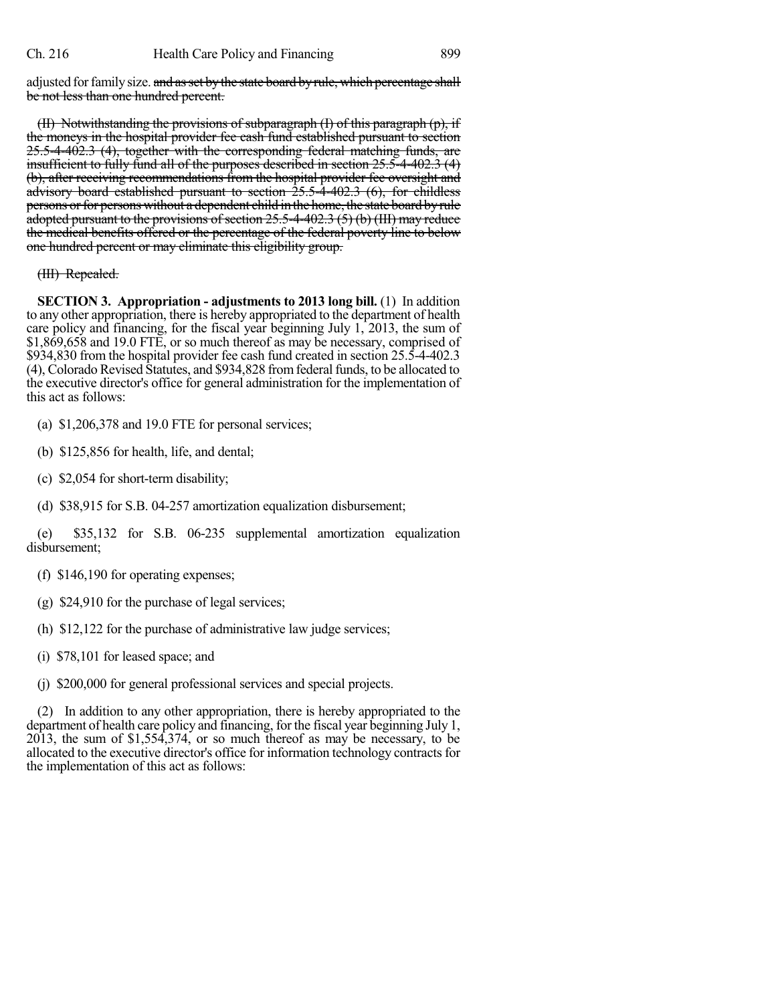adjusted for family size. and as set by the state board by rule, which percentage shall be not less than one hundred percent.

(II) Notwithstanding the provisions of subparagraph (I) of this paragraph (p), if the moneys in the hospital provider fee cash fund established pursuant to section 25.5-4-402.3 (4), together with the corresponding federal matching funds, are insufficient to fully fund all of the purposes described in section 25.5-4-402.3 (4) (b), after receiving recommendations from the hospital provider fee oversight and advisory board established pursuant to section 25.5-4-402.3 (6), for childless persons or for persons without a dependent child in the home, the state board by rule adopted pursuant to the provisions of section  $25.5-4-402.3$  (5) (b) (III) may reduce the medical benefits offered or the percentage of the federal poverty line to below one hundred percent or may eliminate this eligibility group.

### (III) Repealed.

**SECTION 3. Appropriation - adjustments to 2013 long bill.** (1) In addition to any other appropriation, there is hereby appropriated to the department of health care policy and financing, for the fiscal year beginning July 1, 2013, the sum of \$1,869,658 and 19.0 FTE, or so much thereof as may be necessary, comprised of \$934,830 from the hospital provider fee cash fund created in section 25.5-4-402.3 (4), Colorado Revised Statutes, and \$934,828 from federal funds, to be allocated to the executive director's office for general administration for the implementation of this act as follows:

- (a) \$1,206,378 and 19.0 FTE for personal services;
- (b) \$125,856 for health, life, and dental;
- (c) \$2,054 for short-term disability;
- (d) \$38,915 for S.B. 04-257 amortization equalization disbursement;

(e) \$35,132 for S.B. 06-235 supplemental amortization equalization disbursement;

- (f) \$146,190 for operating expenses;
- (g) \$24,910 for the purchase of legal services;
- (h) \$12,122 for the purchase of administrative law judge services;
- (i) \$78,101 for leased space; and
- (j) \$200,000 for general professional services and special projects.

(2) In addition to any other appropriation, there is hereby appropriated to the department of health care policy and financing, for the fiscal year beginning July 1, 2013, the sum of \$1,554,374, or so much thereof as may be necessary, to be allocated to the executive director's office for information technology contracts for the implementation of this act as follows: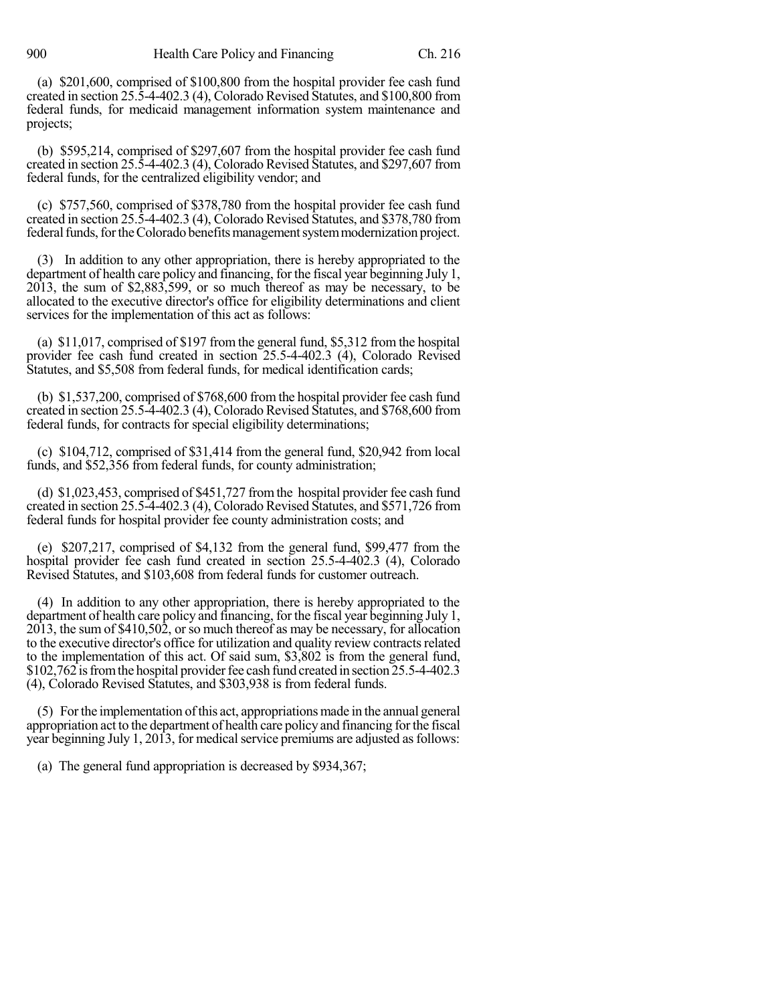(a) \$201,600, comprised of \$100,800 from the hospital provider fee cash fund created in section 25.5-4-402.3 (4), Colorado Revised Statutes, and \$100,800 from federal funds, for medicaid management information system maintenance and projects;

(b) \$595,214, comprised of \$297,607 from the hospital provider fee cash fund created in section 25.5-4-402.3 (4), Colorado Revised Statutes, and \$297,607 from federal funds, for the centralized eligibility vendor; and

(c) \$757,560, comprised of \$378,780 from the hospital provider fee cash fund created in section  $25.\overline{5}$ -4-402.3 (4), Colorado Revised Statutes, and \$378,780 from federal funds, for the Colorado benefits management system modernization project.

(3) In addition to any other appropriation, there is hereby appropriated to the department of health care policy and financing, for the fiscal year beginning July 1, 2013, the sum of \$2,883,599, or so much thereof as may be necessary, to be allocated to the executive director's office for eligibility determinations and client services for the implementation of this act as follows:

(a) \$11,017, comprised of \$197 from the general fund, \$5,312 from the hospital provider fee cash fund created in section 25.5-4-402.3 (4), Colorado Revised Statutes, and \$5,508 from federal funds, for medical identification cards;

(b) \$1,537,200, comprised of \$768,600 from the hospital provider fee cash fund created in section 25.5-4-402.3 (4), ColoradoRevised Statutes, and \$768,600 from federal funds, for contracts for special eligibility determinations;

(c) \$104,712, comprised of \$31,414 from the general fund, \$20,942 from local funds, and \$52,356 from federal funds, for county administration;

(d) \$1,023,453, comprised of \$451,727 fromthe hospital provider fee cash fund created in section 25.5-4-402.3 (4), Colorado Revised Statutes, and \$571,726 from federal funds for hospital provider fee county administration costs; and

(e) \$207,217, comprised of \$4,132 from the general fund, \$99,477 from the hospital provider fee cash fund created in section 25.5-4-402.3 (4), Colorado Revised Statutes, and \$103,608 from federal funds for customer outreach.

(4) In addition to any other appropriation, there is hereby appropriated to the department of health care policy and financing, for the fiscal year beginning July 1, 2013, the sum of \$410,502, orso much thereof as may be necessary, for allocation to the executive director's office for utilization and quality review contracts related to the implementation of this act. Of said sum, \$3,802 is from the general fund, \$102,762 is from the hospital provider fee cash fund created in section 25.5-4-402.3 (4), Colorado Revised Statutes, and \$303,938 is from federal funds.

(5) Forthe implementation ofthis act, appropriations made in the annual general appropriation act to the department of health care policy and financing forthe fiscal year beginning July 1, 2013, for medical service premiums are adjusted as follows:

(a) The general fund appropriation is decreased by \$934,367;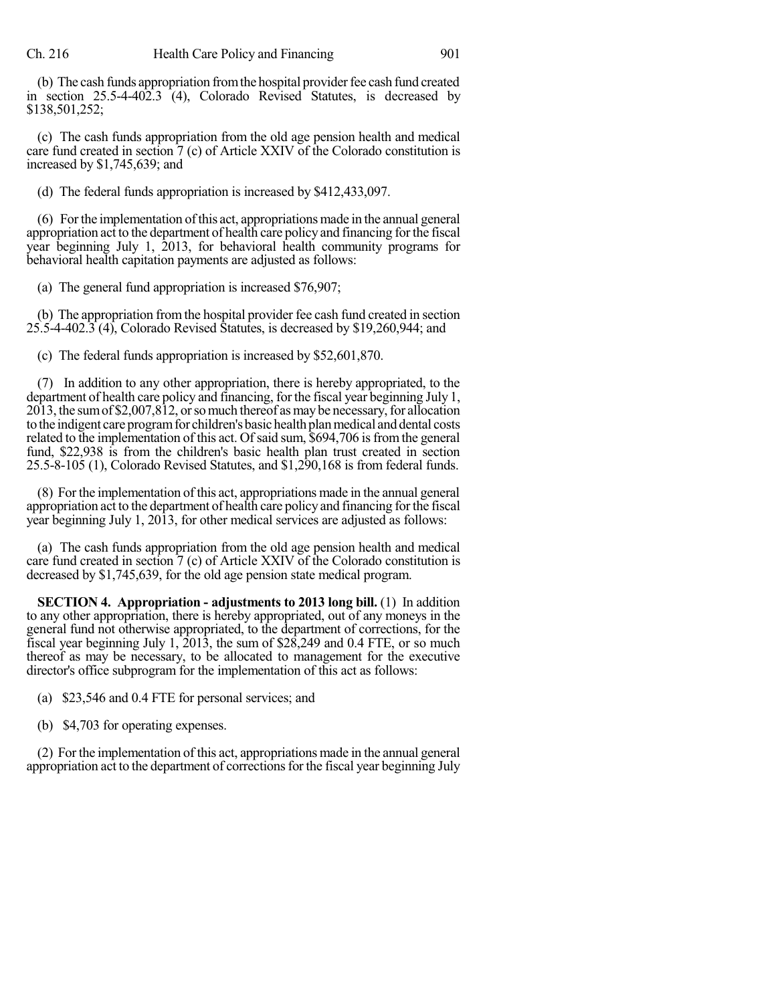(b) The cash funds appropriation from the hospital provider fee cash fund created in section 25.5-4-402.3 (4), Colorado Revised Statutes, is decreased by \$138,501,252;

(c) The cash funds appropriation from the old age pension health and medical care fund created in section 7 (c) of Article XXIV of the Colorado constitution is increased by \$1,745,639; and

(d) The federal funds appropriation is increased by \$412,433,097.

(6) Forthe implementation ofthis act, appropriations made in the annual general appropriation act to the department of health care policy and financing forthe fiscal year beginning July 1, 2013, for behavioral health community programs for behavioral health capitation payments are adjusted as follows:

(a) The general fund appropriation is increased \$76,907;

(b) The appropriation fromthe hospital provider fee cash fund created in section 25.5-4-402.3 (4), Colorado Revised Statutes, is decreased by \$19,260,944; and

(c) The federal funds appropriation is increased by \$52,601,870.

(7) In addition to any other appropriation, there is hereby appropriated, to the department of health care policy and financing, for the fiscal year beginning July 1,  $2013$ , the sum of \$2,007,812, or so much thereof as may be necessary, for allocation to the indigent care program for children's basic health plan medical and dental costs related to the implementation of this act. Of said sum, \$694,706 is from the general fund, \$22,938 is from the children's basic health plan trust created in section 25.5-8-105 (1), Colorado Revised Statutes, and \$1,290,168 is from federal funds.

(8) For the implementation of this act, appropriations made in the annual general appropriation act to the department of health care policy and financing forthe fiscal year beginning July 1, 2013, for other medical services are adjusted as follows:

(a) The cash funds appropriation from the old age pension health and medical care fund created in section 7 (c) of Article XXIV of the Colorado constitution is decreased by \$1,745,639, for the old age pension state medical program.

**SECTION 4. Appropriation - adjustments to 2013 long bill.** (1) In addition to any other appropriation, there is hereby appropriated, out of any moneys in the general fund not otherwise appropriated, to the department of corrections, for the fiscal year beginning July 1, 2013, the sum of \$28,249 and 0.4 FTE, or so much thereof as may be necessary, to be allocated to management for the executive director's office subprogram for the implementation of this act as follows:

(a) \$23,546 and 0.4 FTE for personal services; and

(b) \$4,703 for operating expenses.

(2) For the implementation of this act, appropriations made in the annual general appropriation act to the department of corrections for the fiscal year beginning July